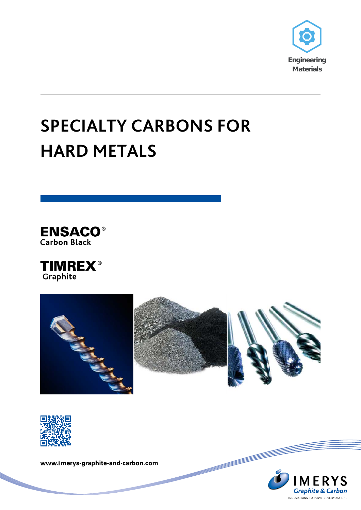

# **SPECIALTY CARBONS FOR HARD METALS**









www.imerys-graphite-and-carbon.com

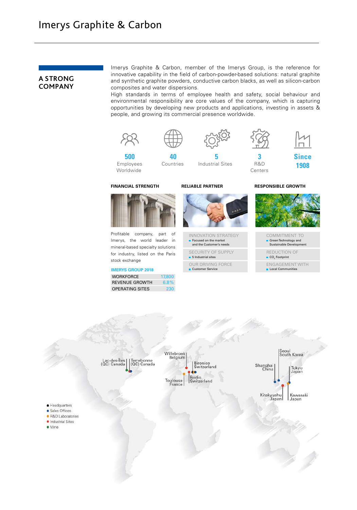### **A STRONG COMPANY**

Imerys Graphite & Carbon, member of the Imerys Group, is the reference for innovative capability in the field of carbon-powder-based solutions: natural graphite and synthetic graphite powders, conductive carbon blacks, as well as silicon-carbon composites and water dispersions.

High standards in terms of employee health and safety, social behaviour and environmental responsibility are core values of the company, which is capturing opportunities by developing new products and applications, investing in assets & people, and growing its commercial presence worldwide.



Profitable company, part of Imerys, the world leader in mineral-based specialty solutions for industry, listed on the Paris stock exchange

### **IMERYS GROUP 2018**

WORKFORCE 17,800 REVENUE GROWTH 6.8% OPERATING SITES 230



INNOVATION STRATEGY Focused on the market and the Customer's needs

```
SECURITY OF SUPPLY
5 Industrial sites
```
OUR DRIVING FORCE **Customer Service** 



COMMITMENT TO Green Technology and Sustainable Development

REDUCTION OF

```
■ CO<sub>2</sub> Footprint
```
ENGAGEMENT WITH

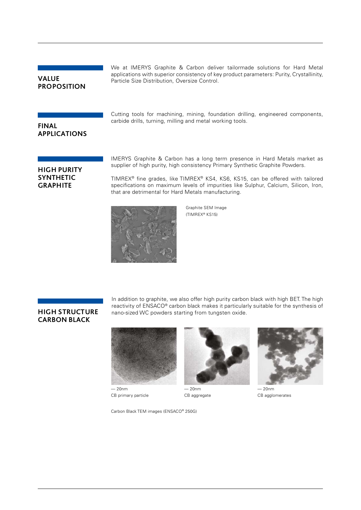# **VALUE PROPOSITION**

We at IMERYS Graphite & Carbon deliver tailormade solutions for Hard Metal applications with superior consistency of key product parameters: Purity, Crystallinity, Particle Size Distribution, Oversize Control.

**FINAL APPLICATIONS** Cutting tools for machining, mining, foundation drilling, engineered components, carbide drills, turning, milling and metal working tools.

## **HIGH PURITY SYNTHETIC GRAPHITE**

IMERYS Graphite & Carbon has a long term presence in Hard Metals market as supplier of high purity, high consistency Primary Synthetic Graphite Powders.

TIMREX® fine grades, like TIMREX® KS4, KS6, KS15, can be offered with tailored specifications on maximum levels of impurities like Sulphur, Calcium, Silicon, Iron, that are detrimental for Hard Metals manufacturing.



Graphite SEM Image (TIMREX® KS15)

### **HIGH STRUCTURE CARBON BLACK**

In addition to graphite, we also offer high purity carbon black with high BET. The high reactivity of ENSACO® carbon black makes it particularly suitable for the synthesis of nano-sized WC powders starting from tungsten oxide.



— 20nm CB primary particle

Carbon Black TEM images (ENSACO® 250G)



— 20nm CB aggregate



— 20nm CB agglomerates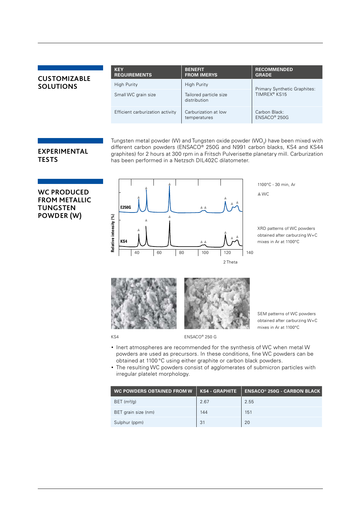# **CUSTOMIZABLE SOLUTIONS**

| <b>KEY</b><br><b>REQUIREMENTS</b> | <b>BENEFIT</b><br><b>FROM IMERYS</b>   | <b>RECOMMENDED</b><br><b>GRADE</b>                       |  |
|-----------------------------------|----------------------------------------|----------------------------------------------------------|--|
| High Purity                       | <b>High Purity</b>                     | Primary Synthetic Graphites:<br>TIMREX <sup>®</sup> KS15 |  |
| Small WC grain size               | Tailored particle size<br>distribution |                                                          |  |
| Efficient carburization activity  | Carburization at low<br>temperatures   | Carbon Black:<br>ENSACO <sup>®</sup> 250G                |  |

# **EXPERIMENTAL**

Tungsten metal powder (W) and Tungsten oxide powder (WO<sub>3</sub>) have been mixed with different carbon powders (ENSACO® 250G and N991 carbon blacks, KS4 and KS44 graphites) for 2 hours at 300 rpm in a Fritsch Pulverisette planetary mill. Carburization has been performed in a Netzsch DIL402C dilatometer.

# **TESTS**

**WC PRODUCED FROM METALLIC TUNGSTEN POWDER (W)** 



1100°C - 30 min, Ar

**△WC** 

XRD patterns of WC powders obtained after carburzing W+C mixes in Ar at 1100°C



KS4 ENSACO® 250 G

- SEM patterns of WC powders obtained after carburzing W+C mixes in Ar at 1100°C
- Inert atmospheres are recommended for the synthesis of WC when metal W powders are used as precursors. In these conditions, fine WC powders can be obtained at 1100 °C using either graphite or carbon black powders.
- The resulting WC powders consist of agglomerates of submicron particles with irregular platelet morphology.

| WC POWDERS OBTAINED FROM W | <b>KS4 - GRAPHITE</b> | <b>ENSACO® 250G - CARBON BLACK</b> |
|----------------------------|-----------------------|------------------------------------|
| BET $(m^2/g)$              | 2.67                  | 2.55                               |
| BET grain size (nm)        | 144                   | 151                                |
| Sulphur (ppm)              | 31                    | 20                                 |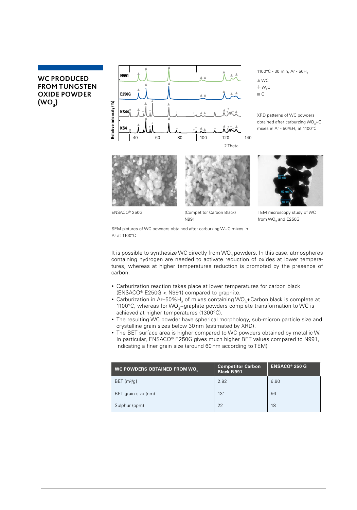# **WC PRODUCED FROM TUNGSTEN OXIDE POWDER**   $(WO_3)$



1100°C - 30 min, Ar - 50H<sub>2</sub>  $\triangle$  WC  $+w_{2}c$ **C** 

XRD patterns of WC powders obtained after carburzing WO<sub>3</sub>+C mixes in Ar -  $50\%$  H<sub>2</sub> at 1100 $^{\circ}$ C





ENSACO® 250G (Competitor Carbon Black) N991



TEM microscopy study of WC from WO<sub>2</sub> and E250G

SEM pictures of WC powders obtained after carburzing W+C mixes in Ar at 1100°C

It is possible to synthesize WC directly from WO<sub>2</sub> powders. In this case, atmospheres containing hydrogen are needed to activate reduction of oxides at lower temperatures, whereas at higher temperatures reduction is promoted by the presence of carbon.

- Carburization reaction takes place at lower temperatures for carbon black (ENSACO® E250G < N991) compared to graphite.
- Carburization in Ar-50% H<sub>2</sub> of mixes containing WO<sub>3</sub>+Carbon black is complete at 1100°C, whereas for WO<sub>3</sub>+graphite powders complete transformation to WC is achieved at higher temperatures (1300°C).
- The resulting WC powder have spherical morphology, sub-micron particle size and crystalline grain sizes below 30 nm (estimated by XRD).
- The BET surface area is higher compared to WC powders obtained by metallic W. In particular, ENSACO® E250G gives much higher BET values compared to N991, indicating a finer grain size (around 60 nm according to TEM)

| <b>WC POWDERS OBTAINED FROM WO.</b> | <b>Competitor Carbon</b><br><b>Black N991</b> | <b>ENSACO® 250 G</b> |
|-------------------------------------|-----------------------------------------------|----------------------|
| $BET$ (m <sup>2</sup> /g]           | 2.92                                          | 6.90                 |
| BET grain size (nm)                 | 131                                           | 56                   |
| Sulphur (ppm)                       | 22                                            | 18                   |